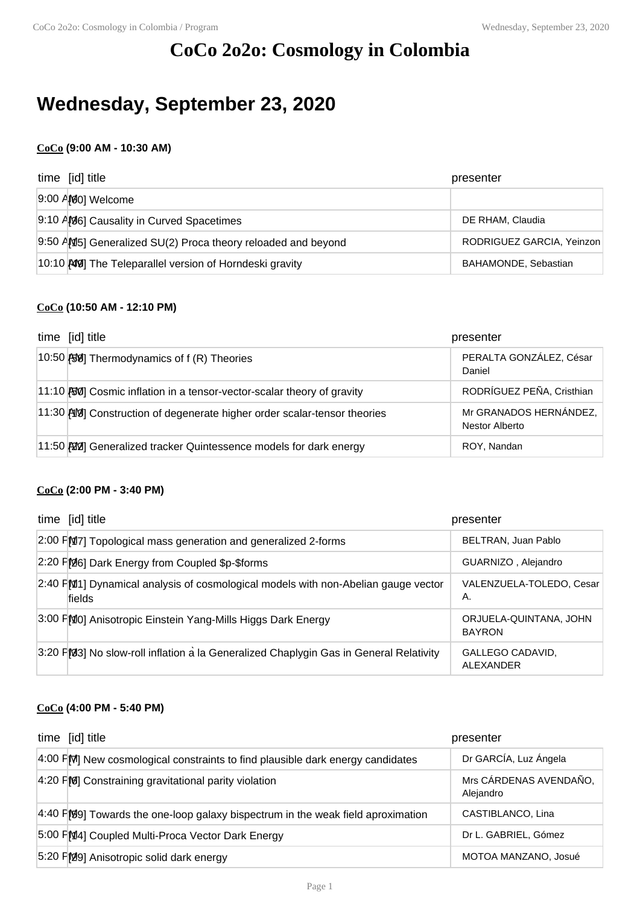# **CoCo 2o2o: Cosmology in Colombia**

# **Wednesday, September 23, 2020**

## **CoCo (9:00 AM - 10:30 AM)**

| time [id] title                                              | presenter                 |
|--------------------------------------------------------------|---------------------------|
| 9:00 AM0] Welcome                                            |                           |
| 9:10 AM6] Causality in Curved Spacetimes                     | DE RHAM, Claudia          |
| 9:50 AM5] Generalized SU(2) Proca theory reloaded and beyond | RODRIGUEZ GARCIA, Yeinzon |
| 10:10 AM The Teleparallel version of Horndeski gravity       | BAHAMONDE, Sebastian      |

## **CoCo (10:50 AM - 12:10 PM)**

| time [id] title                                                         | presenter                                |
|-------------------------------------------------------------------------|------------------------------------------|
| 10:50 $\left 30\right $ Thermodynamics of f (R) Theories                | PERALTA GONZÁLEZ, César<br>Daniel        |
| 11:10 [50] Cosmic inflation in a tensor-vector-scalar theory of gravity | RODRÍGUEZ PEÑA, Cristhian                |
| 11:30 AM Construction of degenerate higher order scalar-tensor theories | Mr GRANADOS HERNÁNDEZ,<br>Nestor Alberto |
| 11:50 20 Generalized tracker Quintessence models for dark energy        | ROY, Nandan                              |

#### **CoCo (2:00 PM - 3:40 PM)**

| time [id] title                                                                             | presenter                               |
|---------------------------------------------------------------------------------------------|-----------------------------------------|
| 2:00 FM7] Topological mass generation and generalized 2-forms                               | BELTRAN, Juan Pablo                     |
| 2:20 PM6 Dark Energy from Coupled \$p-\$forms                                               | GUARNIZO, Alejandro                     |
| 2:40 FM1] Dynamical analysis of cosmological models with non-Abelian gauge vector<br>fields | VALENZUELA-TOLEDO, Cesar<br>Α.          |
| 3:00 FMO] Anisotropic Einstein Yang-Mills Higgs Dark Energy                                 | ORJUELA-QUINTANA, JOHN<br><b>BAYRON</b> |
| 3:20 FM3] No slow-roll inflation a la Generalized Chaplygin Gas in General Relativity       | GALLEGO CADAVID,<br><b>ALEXANDER</b>    |

## **CoCo (4:00 PM - 5:40 PM)**

| time [id] title                                                                    | presenter                           |
|------------------------------------------------------------------------------------|-------------------------------------|
| $4:00$ FM New cosmological constraints to find plausible dark energy candidates    | Dr GARCÍA, Luz Ángela               |
| $4:20$ FM Constraining gravitational parity violation                              | Mrs CÁRDENAS AVENDAÑO,<br>Alejandro |
| $4:40$ FMP9] Towards the one-loop galaxy bispectrum in the weak field aproximation | CASTIBLANCO, Lina                   |
| 5:00 FM4] Coupled Multi-Proca Vector Dark Energy                                   | Dr L. GABRIEL, Gómez                |
| 5:20 FM9] Anisotropic solid dark energy                                            | MOTOA MANZANO, Josué                |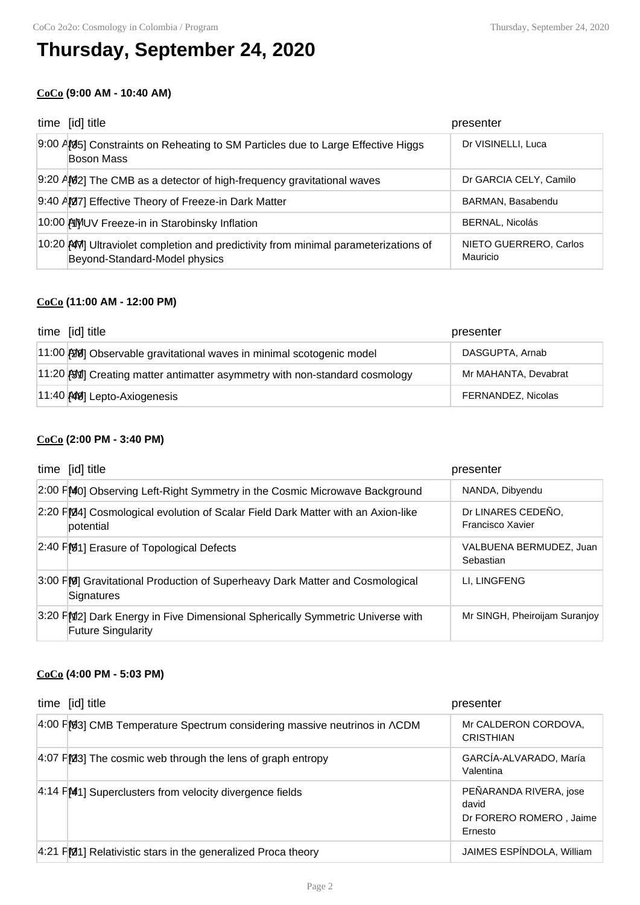# **Thursday, September 24, 2020**

## **CoCo (9:00 AM - 10:40 AM)**

| time [id] title                                                                                                     | presenter                          |
|---------------------------------------------------------------------------------------------------------------------|------------------------------------|
| 9:00 AM5] Constraints on Reheating to SM Particles due to Large Effective Higgs<br><b>Boson Mass</b>                | Dr VISINELLI, Luca                 |
| 9:20 AM2] The CMB as a detector of high-frequency gravitational waves                                               | Dr GARCIA CELY, Camilo             |
| 9:40 AM7] Effective Theory of Freeze-in Dark Matter                                                                 | BARMAN, Basabendu                  |
| 10:00 AMUV Freeze-in in Starobinsky Inflation                                                                       | <b>BERNAL, Nicolás</b>             |
| 10:20 AM Ultraviolet completion and predictivity from minimal parameterizations of<br>Beyond-Standard-Model physics | NIETO GUERRERO, Carlos<br>Mauricio |

### **CoCo (11:00 AM - 12:00 PM)**

| time [id] title                                                            | presenter            |
|----------------------------------------------------------------------------|----------------------|
| 11:00 [20] Observable gravitational waves in minimal scotogenic model      | DASGUPTA, Arnab      |
| 11:20 BVI Creating matter antimatter asymmetry with non-standard cosmology | Mr MAHANTA, Devabrat |
| 11:40 AM Lepto-Axiogenesis                                                 | FERNANDEZ, Nicolas   |

## **CoCo (2:00 PM - 3:40 PM)**

| time [id] title                                                                                            | presenter                              |
|------------------------------------------------------------------------------------------------------------|----------------------------------------|
| 2:00 FMO] Observing Left-Right Symmetry in the Cosmic Microwave Background                                 | NANDA, Dibyendu                        |
| 2:20 FM4] Cosmological evolution of Scalar Field Dark Matter with an Axion-like<br>potential               | Dr LINARES CEDEÑO,<br>Francisco Xavier |
| $\left 2:40\right $ $\left \mathcal{G}_1\right $ Erasure of Topological Defects                            | VALBUENA BERMUDEZ, Juan<br>Sebastian   |
| 3:00 FM Gravitational Production of Superheavy Dark Matter and Cosmological<br>Signatures                  | LI. LINGFENG                           |
| 3:20 FM2] Dark Energy in Five Dimensional Spherically Symmetric Universe with<br><b>Future Singularity</b> | Mr SINGH, Pheiroijam Suranjoy          |

### **CoCo (4:00 PM - 5:03 PM)**

| time [id] title                                                           | presenter                                                             |
|---------------------------------------------------------------------------|-----------------------------------------------------------------------|
| 4:00 F[93] CMB Temperature Spectrum considering massive neutrinos in ACDM | Mr CALDERON CORDOVA.<br><b>CRISTHIAN</b>                              |
| 4:07 PM3] The cosmic web through the lens of graph entropy                | GARCÍA-ALVARADO, María<br>Valentina                                   |
| $4:14$ FM <sub>1</sub> Superclusters from velocity divergence fields      | PEÑARANDA RIVERA, jose<br>david<br>Dr FORERO ROMERO, Jaime<br>Ernesto |
| 4:21 FM11 Relativistic stars in the generalized Proca theory              | JAIMES ESPÍNDOLA, William                                             |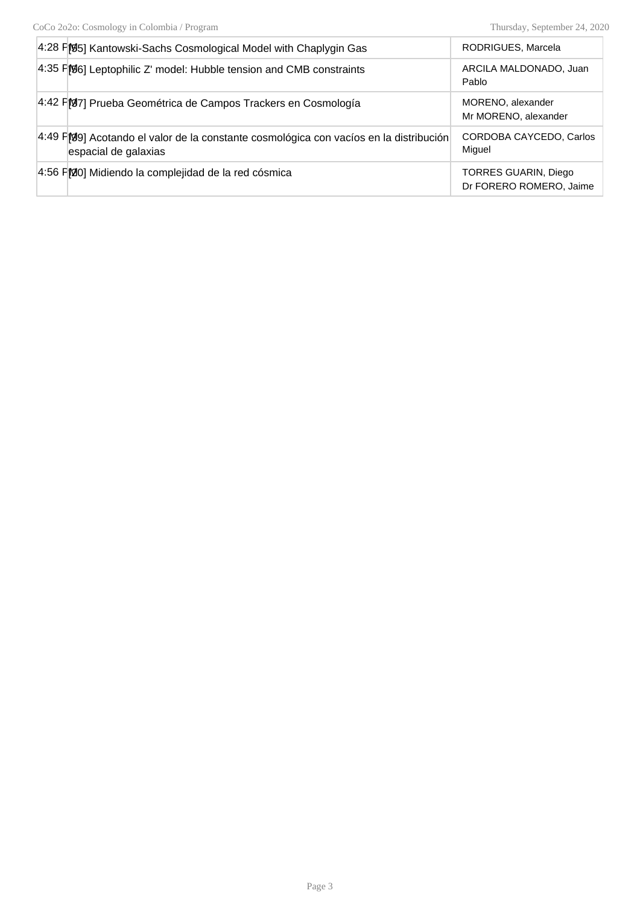| 4:28 F [95] Kantowski-Sachs Cosmological Model with Chaplygin Gas                                             | RODRIGUES, Marcela                              |
|---------------------------------------------------------------------------------------------------------------|-------------------------------------------------|
| 4:35 F[06] Leptophilic Z' model: Hubble tension and CMB constraints                                           | ARCILA MALDONADO, Juan<br>Pablo                 |
| 4:42 FM7] Prueba Geométrica de Campos Trackers en Cosmología                                                  | MORENO, alexander<br>Mr MORENO, alexander       |
| 4:49 PM9] Acotando el valor de la constante cosmológica con vacíos en la distribución<br>espacial de galaxias | CORDOBA CAYCEDO, Carlos<br>Miguel               |
| 4:56 FMO] Midiendo la complejidad de la red cósmica                                                           | TORRES GUARIN, Diego<br>Dr FORERO ROMERO, Jaime |